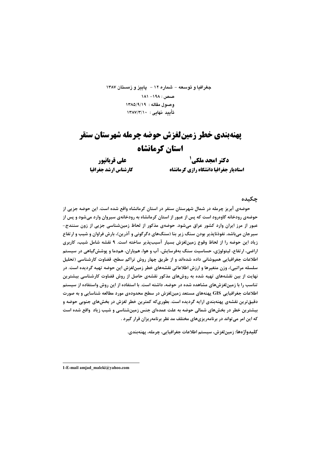جغرافيا و توسعه - شماره ١٢ - ياييز و زمستان ١٣٨٧  $11 - 191 = 191$ وصول مقاله: ١٣٨٥/٩/١٩ تأييد نهايي: ١٣٨٧/٣/١٠

# **یهنهبندی خطر زمینلغزش حوضه چرمله شهرستان سنقر** استان کرمانشاه

على قربانيور کارشناس ارشد جغرافیا

**دکترامحد ملکی <sup>ا</sup>** استاديار جغرافيا دانشگاه رازي كرمانشاه

جكىدە

حوضهی آبریز چرمله در شمال شهرستان سنقر در استان کرمانشاه واقع شده است. این حوضه جزیی از حوضهی رودخانه گاوهرود است که پس از عبور از استان کرمانشاه به رودخانهی سیروان وارد میشود و پس از عبور از مرز ایران وارد کشور عراق میشود. حوضهی مذکور از لحاظ زمینشناسی جزیی از زون سنندج-سیرجان میباشد. نفوذناپذیر بودن سنگ زیر بنا (سنگهای دگرگونی و آذرین)، بارش فراوان و شیب و ارتفاع زیاد این حوضه را از لحاظ وقوع زمین لغزش بسیار آسیبپذیر ساخته است. ۹ نقشه شامل شیب، کاربری اراضی، ارتفاع، لیتولوژی، حساسیت سنگ بهفرسایش، آب و هوا، همباران، همدما و پوشش گیاهی در سیستم اطلاعات جغرافیایی همپوشانی داده شدهاند و از طریق چهار روش تراکم سطح، قضاوت کارشناسی (تحلیل سلسله مراتبي)، وزن متغيرها و ارزش اطلاعاتي نقشههاي خطر زمينلغزش اين حوضه تهيه گرديده است. در نهایت از بین نقشههای تهیه شده به روشهای مذکور نقشهی حاصل از روش قضاوت کارشناسی بیشترین تناسب را با زمینلغزشهای مشاهده شده در حوضه، داشته است. با استفاده از این روش واستفاده از سیستم اطلاعات جغرافیایی GIS پهنههای مستعد زمینلغزش در سطح محدودهی مورد مطالعه شناسایی و به صورت دقیق ترین نقشهی پهنهبندی ارایه گردیده است. بطوریکه کمترین خطر لغزش در بخشهای جنوبی حوضه و بیشترین خطر در بخشهای شمالی حوضه به علت عمدهای جنس زمینشناسی و شیب زیاد واقع شده است که این امر می تواند در برنامهریزیهای مختلف مد نظر برنامهریزان قرار گیرد .

كليدواژەها: زمينلغزش، سيستم اطلاعات جغرافيايي، چرمله، پهنەبندي.

1-E-mail amjad maleki@yahoo.com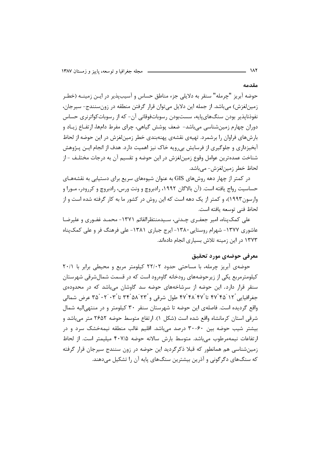مقدمه

حوضه آبریز "چرمله" سنقر به دلایلی جزء مناطق حساس و آسیبپذیر در ایـن زمینــه (خطـر زمینلغزش) میباشد. از جمله این دلایل میتوان قرار گرفتن منطقه در زونسنندج- سیرجان، نفوذنايذير بودن سنگـهاي.پايه، سستبودن رسوباتفوقاني آن- كه از رسوباتكواترنري حساس دوران چهارم زمینشناسی می باشد– ضعف پوشش گیاهی، چرای مفرط دامها، ارتفـاع زیـاد و بارشهای فراوان را برشمرد. تهیهی نقشهی پهنهبندی خطر زمین لغزش در این حوضه از لحاظ آبخیزداری و جلوگیری از فرسایش بی٫رویه خاک نیز اهمیت دارد. هدف از انجام ایـن پـژوهش شناخت عمدهترین عوامل وقوع زمینِلغزش در این حوضه و تقسیم آن به درجات مختلـف –از لحاظ خطر زمین لغزش- می باشد.

در کمتر از چهار دهه روشهای GIS به عنوان شیوههای سریع برای دستیابی به نقشههـای حساسیت رواج یافته است. (آن بالاگان ۱۹۹۲، رادبروچ و ونت ورس، رادبروچ و کررودر، مـورا و وارسون ۱۹۹۳)، و کمتر از یک دهه است که این روش در کشور ما به کار گرفته شده است و از لحاظ فني توسعه يافته است.

علی کمک بناه، امیر جعف ری چـدنی، سـیدمنتظرالقائم ۱۳۷۱- محمـد غفـوری و علیرضـا عاشوری ۱۳۷۷- شهرام روستایی ۱۳۸۰- ایرج جباری ۱۳۸۱- علی فرهنگ فر و علی کمکپناه ۱۳۷۳ در این زمینه تلاش بسیاری انجام دادهاند.

## معرفي حوضهي مورد تحقيق

حوضهی آبریز چرمله، با مساحتی حدود ۲۲/۰۲ کیلومتر مربع و محیطی برابر با ۲۰/۱ کیلومترمربع یکی از زیرحوضههای رودخانه گاوهرود است که در قسمت شمال شرقی شهرستان سنقر قرار دارد. این حوضه از سرشاخههای حوضه سد گاوشان می باشد که در محدودهی جغرافیایی ۲۴ `۴۵ ٌ۲۴ تا ۴۷ ٌ۴۸ ۴۷ طول شرقی و ۲۴ ۵۸ ٌ۳۴ تا ۳۴ ٔ ۳۵ ٌ ۳۵ عرض شمالی واقع گردیده است. فاصلهی این حوضه تا شهرستان سنقر ۳۰ کیلومتر و در منتهی الیه شمال شرقی استان کرمانشاه واقع شده است (شکل ۱). ارتفاع متوسط حوضه ۲۶۵۲ متر می باشد و بیشتر شیب حوضه بین ۶۰-۳۰ درصد میباشد. اقلیم غالب منطقه نیمهخشک سرد و در ارتفاعات نیمهمرطوب می باشد. متوسط بارش سالانه حوضه ۴۰۷/۵ میلیمتر است. از لحاظ زمینشناسی هم همانطور که قبلا ذکرگردید این حوضه در زون سنندج سیرجان قرار گرفته که سنگهای دگرگونی و آذرین بیشترین سنگهای پایه آن را تشکیل می دهند.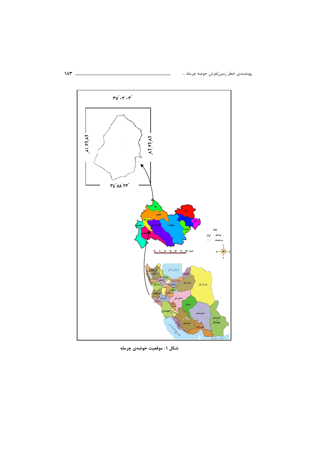پهنهبندي خطر زمينلغزش حوضه چرمله …



شکل ۱: موقعیت حوضهی چرمله

 $M^*$  –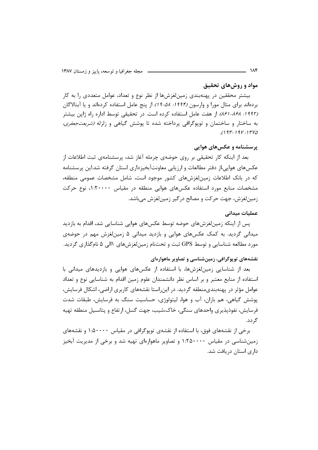#### مواد و روشهای تحقیق

بیشتر محققین در پهنهبندی زمینلغزشها از نظر نوع و تعداد، عوامل متعددی را به کار ردهاند برای مثال مورا و وارسون *(۱۹۹۴: ۵۸-۱۹)* از پنج عامل استفاده کردهاند و یا آبنالاگان ļ (۱*۹۹۲: ۸۶۸-۱۶۱)* از هفت عامل استفاده کرده است. در تحقیقی توسط اداره راه ژاپن بیشتر ه ساختار و ساختمان و توپوگرافی پرداخته شده تا پوشش گیاهی و زلزله *(شریعتجعفری،* ڊ  $(197 - 198)$ 

#### **پرسشنامه و عکسهای هوایی**

بعد از اینکه کار تحقیقی بر روی حوضهی چرمله آغاز شد، پرسشنامهی ثبت اطلاعات از عکسهای هوایی،از دفتر مطالعات و ارزیابی معاونتآبخیزداری استان گرفته شد.این پرسشنامه که در بانک اطلاعات زمینِلغزشهای کشور موجود است، شامل مشخصات عمومی منطقه، مشخصات منابع مورد استفاده عکسهای هوایی منطقه در مقیاس ۱:۲۰۰۰۰، نوع حرکت زمینلغزش، جهت حرکت و مصالح درگیر زمینلغزش میباشد.

### عملیات میدانی

پس از اینکه زمینلغزشهای حوضه توسط عکسهای هوایی شناسایی شد، اقدام به بازدید میدانی گردید. به کمک عکسهای هوایی و بازدید میدانی ۵ زمینلغزش مهم در حوضهی مورد مطالعه شناسایی و توسط GPS ثبت و تحتنام زمینلغزشهای ۱الی ۵ نامگذاری گردید.

#### نقشههای توپوگرافی، زمین شناسی و تصاویر ماهوارهای

بعد از شناسایی زمین لغزشها، با استفاده از عکسهای هوایی و بازدیدهای میدانی با استفاده از منابع معتبر و بر اساس نظر دانشمندان علوم زمین اقدام به شناسایی نوع و تعداد عوامل مؤثر در پهنهبندیمنطقه گردید. در اینراستا نقشههای کاربری اراضی، اشکال فرسایش، پوشش گیاهی، هم باران، آب و هوا، لیتولوژی، حساسیت سنگ به فرسایش، طبقات شدت فرسایش، نفوذپذیری واحدهای سنگی، خاک،شیب، جهت گسل، ارتفاع و پتانسیل منطقه تهیه گردد.

رخی از نقشههای فوق، با استفاده از نقشهی توپوگرافی در مقیاس ۱۰۵۰۰۰۰ و نقشههای ļ زمینشناسی در مقیاس ۱:۲۵۰۰۰ و تصاویر ماهوارهای تهیه شد و برخی از مدیریت آبخیز داری استان دریافت شد.

184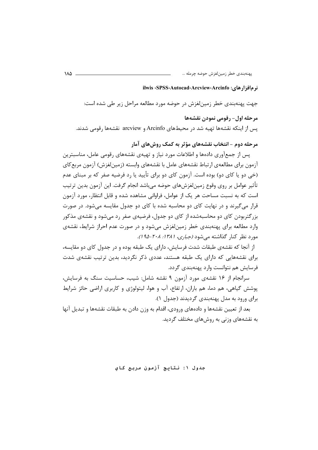#### نر مافزارهای: SPSS: Autocad: Arcview: Arcinfo:

جهت پهنهبندي خطر زمينلغزش در حوضه مورد مطالعه مراحل زير طي شده است: مرحله اول- رقومي نمودن نقشهها یس از اینکه نقشهها تهیه شد در محیطهای Arcinfo و arcview نقشهها رقومی شدند.

مرحله دوم – انتخاب نقشههای مؤثر به کمک روش های آمار

یس از جمعآوری دادهها و اطلاعات مورد نیاز و تهیهی نقشههای رقومی عامل، مناسبترین آزمون برای مطالعهی ارتباط نقشههای عامل با نقشههای وابسته (زمینِلغزش) آزمون مربع کای (خی دو یا کای دو) بوده است. آزمون کای دو برای تأیید یا رد فرضیه صفر که بر مبنای عدم تأثير عوامل بر روي وقوع زمينِ لغزشهاي حوضه مي باشد انجام گرفت. اين آزمون بدين ترتيب است که به نسبت مساحت هر یک از عوامل، فراوانی مشاهده شده و قابل انتظار، مورد آزمون قرار میگیرند و در نهایت کای دو محاسبه شده با کای دو جدول مقایسه میشود. در صورت بزرگتربودن کای دو محاسبهشده از کای دو جدول، فرضیهی صفر رد می شود و نقشهی مذکور وارد مطالعه برای پهنهبندی خطر زمین لغزش می شود و در صورت عدم احراز شرایط، نقشهی مورد نظر کنار گذاشته میشود (جباری، ۱۳۸۱: ۲۰۸-۱۹۵٪.

از آنجا که نقشهی طبقات شدت فرسایش، دارای یک طبقه بوده و در جدول کای دو مقایسه، برای نقشههایی که دارای یک طبقه هستند، عددی ذکر نگردید، بدین ترتیب نقشهی شدت فرسايش هم نتوانست وارد پهنهبندي گردد.

سرانجام از ۱۶ نقشهی مورد آزمون ۹ نقشه شامل: شیب، حساسیت سنگ به فرسایش، پوشش گیاهی، هم دما، هم باران، ارتفاع، آب و هوا، لیتولوژی و کاربری اراضی حائز شرایط برای ورود به مدل پهنهبندی گردیدند (جدول ۱).

بعد از تعیین نقشهها و دادههای ورودی، اقدام به وزن دادن به طبقات نقشهها و تبدیل آنها به نقشههای وزنی به روشهای مختلف گردید.

جدول ۱: نتایچ آزمون مربع کای

 $\lambda \Delta$  -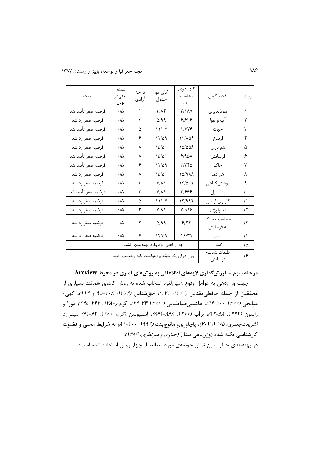| نتيجه              | سطح<br>معنىدار<br>بودن | درجه<br>آزادى | کای دو<br>جدول                                 | کای دوی<br>محاسبه<br>شده | نقشه كامل               | رديف          |
|--------------------|------------------------|---------------|------------------------------------------------|--------------------------|-------------------------|---------------|
| فرضيه صفر تأييد شد | $\cdot$ /۵             | ١             | $\tau/\lambda$ ۴                               | <b>7/18Y</b>             | نفوذپذیری               | ١             |
| فرضيه صفر رد شد    | $\cdot/\Delta$         | ٢             | $\Delta$ /99                                   | ۶۱۶۲۶                    | آب و هوا                | ٢             |
| فرضيه صفر تأييد شد | $\cdot/\Delta$         | ۵             | 11/2                                           | <b><i>NYYE</i></b>       | جهت                     | ٣             |
| فرضيه صفر رد شد    | ۰۱۵                    | ۶             | 17/29                                          | ۱۲/۸۵۹                   | ارتفاع                  | ۴             |
| فرضيه صفر رد شد    | ۰۱۵                    | ٨             | $1\Delta/\Delta$                               | ۱۵/۵۵۶                   | هم باران                | ۵             |
| فرضيه صفر تأييد شد | $\cdot/\Delta$         | ٨             | $\Lambda\Delta/\Delta\Lambda$                  | 9/901                    | فرسايش                  | ۶             |
| فرضيه صفر تأييد شد | $\cdot/\Delta$         | ۶             | $17/\Delta$ 9                                  | ۳/۷۴۵                    | خاک                     | ٧             |
| فرضیه صفر رد شد    | $\cdot/\Delta$         | ٨             | $\Delta/\Delta$                                | 151988                   | هم دما                  | ٨             |
| فرضيه صفر رد شد    | ۰۱۵                    | ٣             | $Y/\lambda$                                    | $17/\Delta \cdot 7$      | پوشش گیاهی              | ٩             |
| فرضيه صفر تأييد شد | $\cdot/\Delta$         | ٣             | $Y/\lambda$                                    | ۳۱۶۶۶                    | پتانسیل                 | ۱۰            |
| فرضيه صفر رد شد    | ۰۱۵                    | ۵             | 11/2                                           | ۱۳/۹۹۲                   | كاربري اراضى            | ۱۱            |
| فرضيه صفر رد شد    | ۰۱۵                    | ٣             | $Y/\lambda$                                    | Y/919                    | ليتولوژي                | ۱۲            |
| فرضيه صفر رد شد    | $\cdot/\Delta$         | ٢             | $\Delta$ /99                                   | 5/77                     | حساسیت سنگ<br>به فرسايش | $\mathcal{L}$ |
| فرضيه صفر رد شد    | ۰۱۵                    | ۶             | 17/29                                          | ۱۶۳۱                     | شيب                     | ۱۴            |
|                    |                        |               | چون خطی بود وارد پهنهبندی نشد                  | گسل                      | ۱۵                      |               |
|                    |                        |               | چون دارای یک طبقه بودنتوانست وارد پهنهبندی شود | طبقات شدت-<br>فرسايش     | ۱۶                      |               |

هرحله سوم - ارزشگذاری لایههای اطلاعاتی به روشهای آماری در محیط Arcview

جهت وزندهی به عوامل وقوع زمینلغزه انتخاب شده به روش کادوی همانند بسیاری از محققین از جمله حافظی مقدس (۱۳۷۲: ۱۲/۱)، حقشناس (۱۳۷۴: ۱۰۸–۹۵ و ۱۱۴)، کهی-میانجی (۱۳۷۷، ۱-۹۴)، هاشمیطباطبایی ( ۲۴،۱۳۷۸-۲۴۵، ۲۵۸ -۲۴۵) مورا و راسون (۱۹۹۴: ۵۸-۱۹)، براب (۱۹۷۷: ۸۶۸-۸۶۱)، استیوسن (کرم، ۱۳۸۰: ۶۴-۹۱) مینی د (*شریعتجعفری، ۱۳۷۵: ۲۰۲۰)*، پاچاوریو مانوچپنت (۱۹۹۲: ۱۰۰-۸۱) به شرایط محلی و قضاوت کارشناسی تکیه شده (وزندهی بینا ) *(جباری و میرنظری، ۱۳۸۶)*. در پهنهبندی خطر زمینلغزش حوضهی مورد مطالعه از چهار روش استفاده شده است: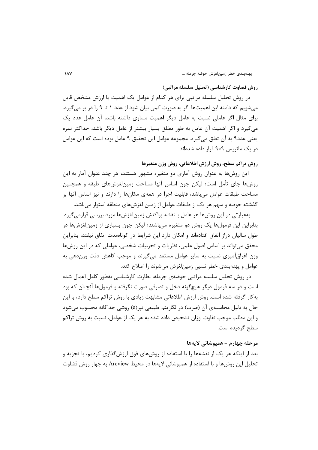روش قضاوت کارشناسی (تحلیل سلسله مراتبی)

در روش تحلیل سلسله مراتبی برای هر کدام از عوامل یک اهمیت یا ارزش مشخص قایل میشویم که دامنه این اهمیتها اگر به صورت کمی بیان شود از عدد ۱ تا ۹ را در بر می گیرد. برای مثال اگر عاملی نسبت به عامل دیگر اهمیت مساوی داشته باشد، آن عامل عدد یک می گیرد و اگر اهمیت آن عامل به طور مطلق بسیار بیشتر از عامل دیگر باشد، حداکثر نمره يعني عدد٩ به آن تعلق مي گيرد. مجموعه عوامل اين تحقيق ٩ عامل بوده است كه اين عوامل در یک ماتریس ۹×۹ قرار داده شدهاند.

روش تراكم سطح، روش ارزش اطلاعاتي، روش وزن متغيرها

این روشها به عنوان روش آماری دو متغیره مشهور هستند، هر چند عنوان آمار به این روشها جاي تأمل است؛ ليكن چون اساس آنها مساحت زمينلغزشهاي طبقه و همچنين مساحت طبقات عوامل میباشد، قابلیت اجرا در همهی مکانها را دارند و نیز اساس آنها بر گذشته حوضه و سهم هر یک از طبقات عوامل از زمین لغزشهای منطقه استوار میباشد.

بهعبارتی در این روشها هر عامل با نقشه پراکنش زمینلغزشها مورد بررسی قرارمی گیرد. بنابراین این فرمولها یک روش دو متغیره میباشند؛ لیکن چون بسیاری از زمینلغزشها در طول سالیان دراز اتفاق افتادهاند و امکان دارد این شرایط در کوتاهمدت اتفاق نیفتد، بنابراین محقق میتواند بر اساس اصول علمی، نظریات و تجربیات شخصی، عواملی که در این روشها وزن اغراق آمیزی نسبت به سایر عوامل مستعد می گیرند و موجب کاهش دقت وزن دهی به عوامل و پهنهبندي خطر نسبي زمين لغزش مے شوند را اصلاح كند.

در روش تحلیل سلسله مراتبی حوضهی چرمله، نظارت کارشناسی بهطور کامل اعمال شده است و در سه فرمول دیگر هیچگونه دخل و تصرفی صورت نگرفته و فرمولها آنچنان که بود به کار گرفته شده است. روش ارزش اطلاعاتی مشابهت زیادی با روش تراکم سطح دارد، با این حال به دلیل محاسبهی آن (ضرب) در لگاریتم طبیعی نپر(e) روشی جداگانه محسوب میشود و این مطلب موجب تفاوت اوزان تشخیص داده شده به هر یک از عوامل، نسبت به روش تراکم سطح گردیده است.

### مرحله چهارم - هميوشاني لايهها

بعد از اینکه هر یک از نقشهها را با استفاده از روشهای فوق ارزشگذاری کردیم، با تجزیه و تحلیل این روش۱۰ و با استفاده از همپوشانی لایهها در محیط Arcview به چهار روش قضاوت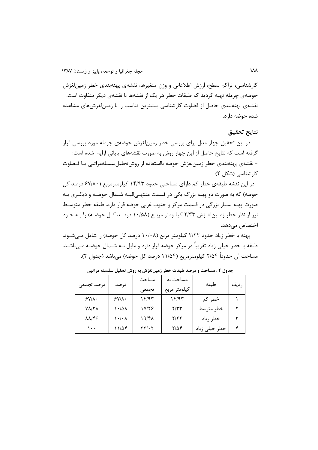کارشناسی، تراکم سطح، ارزش اطلاعاتی و وزن متغیرها، نقشهی پهنهبندی خطر زمینلغزش حوضهی چرمله تهیه گردید که طبقات خطر هر یک از نقشهها با نقشهی دیگر متفاوت است. نقشهی پهنهبندی حاصل از قضاوت کارشناسی بیشترین تناسب را با زمینلغزشهای مشاهده شده حوضه دارد.

#### **نتايج تحقيق**

در این تحقیق چهار مدل برای بررسی خطر زمینلغزش حوضهی چرمله مورد بررسی قرار گرفته است که نتایج حاصل از این چهار روش به صورت نقشههای پایانی ارایه شده است: – نقشهی پهنهبندی خطر زمینلغزش حوضه بااستفاده از روشتحلیلسلسلهمراتبی یـا قـضاوت کارشناسی (شکل ۲)

در این نقشه طبقهی خطر کم دارای مساحتی حدود ۱۴/۹۳ کیلومترمربع (۶۷/۸۰ درصد کل حوضه) که به صورت دو پهنه بزرگ یکی در قسمت منتهـی|لیــه شــمال حوضــه و دیگــری بــه صورت پهنه بسیار بزرگی در قسمت مرکز و جنوب غربی حوضه قرار دارد. طبقه خطر متوسـط نیز از نظر خطر زمـینلغـزش ۲/۳۳ کیلـومتر مربـع (۱۰/۵۸ درصـد کـل حوضـه) را بـه خـود اختصاص مے دھد.

پهنه با خطر زياد حدود ٢/٢٢ كيلومتر مربع (١٠/٠٨ درصد كل حوضه) را شامل مـىشـود. طبقه با خطر خیلی زیاد تقریباً در مرکز حوضه قرار دارد و مایل بـه شــمال حوضـه مــیباشــد. مساحت آن حدوداً ۲/۵۴ کیلومترمربع (۱۱/۵۴ درصد کل حوضه) میباشد (جدول ۲).

| درصد تجمعى          | درصد                            | مساحت<br>تجمعى                             | مساحت به<br>كيلومتر مربع | طىقە          | ر ديف |
|---------------------|---------------------------------|--------------------------------------------|--------------------------|---------------|-------|
| $SVI \Lambda$       | $SY/\lambda$ .                  | ۱۴/۹۳                                      | ۱۴/۹۳                    | خطر کم        |       |
| $V\Lambda/T\Lambda$ | ۱۰/۵۸                           | 17/16                                      | Y/YY                     | خطر متوسط     |       |
| 89/18               | $\mathcal{N} \cdot \mathcal{N}$ | ۱۹/۴۸                                      | 7/۲۲                     | خطر زياد      |       |
| ۱۰۰                 | ۱۱٬۵۴                           | $\mathbf{Y} \mathbf{Y} / \cdot \mathbf{Y}$ | ۲/۵۴                     | خطر خیلی زیاد |       |

جدول ۲ : مساحت و درصد طبقات خطر زمینلغزش به روش تحلیل سلسله مراتبی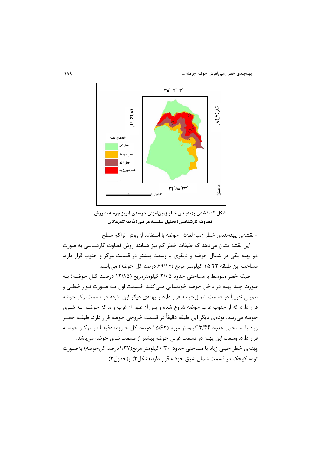

شکل ۲ : نقشهی پهنهبندی خطر زمینلغزش حوضهی آبریز چرمله به روش قضاوت کارشناسی (تحلیل سلسله مراتبی) *مأخذ: نگارندگان* 

– نقشهی پهنهبندی خطر زمینلغزش حوضه با استفاده از روش تراکم سطح

این نقشه نشان میدهد که طبقات خطر کم نیز همانند روش قضاوت کارشناسی به صورت دو پهنه یکی در شمال حوضه و دیگری با وسعت بیشتر در قسمت مرکز و جنوب قرار دارد. مساحت این طبقه ۱۵/۲۳ کیلومتر مربع (۶۹/۱۶ درصد کل حوضه) میباشد.

طبقه خطر متوسط با مساحتی حدود ۳/۰۵ کیلومترمربع (۱۳/۸۵ درصـد کــل حوضــه) بــه صورت چند پهنه در داخل حوضه خودنمایی مـیکنــد. قــسمت اول بــه صــورت نــوار خطــی و طویلی تقریباً در قسمت شمالحوضه قرار دارد و پهنهی دیگر این طبقه در قسمتمرکز حوضه قرار دارد که از جنوب غرب حوضه شروع شده و پس از عبور از غرب و مرکز حوضـه بــه شــرق حوضه میرسد. تودهی دیگر این طبقه دقیقاً در قسمت خروجی حوضه قرار دارد. طبقـه خطـر زیاد با مساحتی حدود ۳/۴۴ کیلومتر مربع (۱۵/۶۲ درصد کل حـوزه) دقیقــأ در مرکــز حوضــه قرار دارد. وسعت این پهنه در قسمت غربی حوضه بیشتر از قسمت شرق حوضه میباشد. پهنهی خطر خیلی زیاد با مساحتی حدود ۰/۳۰کیلومتر مربع(۱/۳۷درصد کلحوضه) بهصـورت توده کوچک در قسمت شمال شرق حوضه قرار دارد.(شکل۳) و(جدول۳).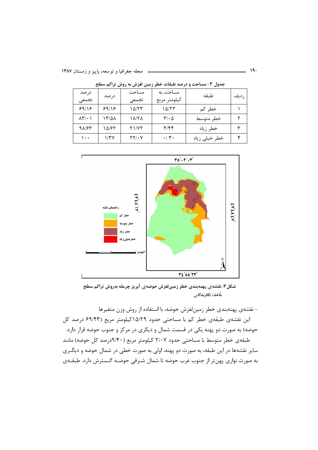| درصد                                 |       | مساحت                             | مساحت به                      | طبقه          |       |
|--------------------------------------|-------|-----------------------------------|-------------------------------|---------------|-------|
| تجمعى                                | در صد | تجمعى                             | كيلومتر مربع                  |               | ر دیف |
| ۶۹/۱۶                                | 99/18 | ۱۵/۲۳                             | ۱۵/۲۳                         | خطر کم        |       |
| $\lambda \Upsilon / \cdot \ \rangle$ | ۱۳/۵۸ | 18/28                             | $\mathbf{r}/\cdot \mathbf{r}$ | خطر متوسط     |       |
| 98163                                | ۱۵/۶۲ | <b>TI/YT</b>                      | $\mathbf{y}/\mathbf{f}$       | خطر زياد      | ₩     |
| ۱۰۰                                  | ۱/۳۷  | $\mathsf{Y}\mathsf{Y}/\mathsf{Y}$ | $\cdot$ / $\mathbf{r}$ .      | خطر خیلی زیاد |       |

جدول ۳ : مساحت و درصد طبقات خطر زمین لغزش به روش تراکم سطح



شکل۳: نقشهی پهنهبندی خطر زمینلغزش حوضهی آبریز چرمله بهروش تراکم سطح م**أخذ: نگارندگان** 

– نقشهی پهنهبندی خطر زمینلغزش حوضه، با استفاده از روش وزن متغیرها این نقشهی طبقهی خطر کم با مساحتی حدود ۱۵/۲۹کیلومتر مربع (۶۹/۴۳ درصد کل حوضه) به صورت دو پهنه یکی در قسمت شمال و دیگری در مرکز و جنوب حوضه قرار دارد. طبقهی خطر متوسط با مساحتی حدود ۲/۰۷ کیلومتر مربع (۹/۴۰درصد کل حوضه) مانند سایر نقشهها در این طبقه، به صورت دو پهنه، اولی به صورت خطی در شمال حوضه و دیگـری ه صورت نواری پهنتر از جنوب غرب حوضه تا شمال شـرقی حوضـه گـسترش دارد. طبقــهی ڊ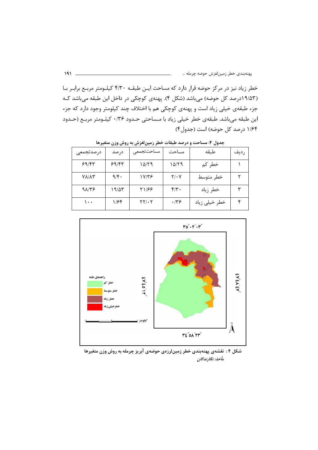خطر زیاد نیز در مرکز حوضه قرار دارد که مساحت ایـن طبقـه ۴/۳۰ کیلـومتر مربـع برابـر بـا (۱۹/۵۳درصد کل حوضه) میباشد (شکل ۴). پهنهی کوچکی در داخل این طبقه میباشد ک جزء طبقهی خیلی زیاد است و پهنهی کوچکی هم با اختلاف چند کیلومتر وجود دارد که جزء این طبقه میباشد. طبقهی خطر خیلی زیاد با مـساحتی حـدود ۰/۳۶ کیلـومتر مربـع (حـدود ۱/۶۴ درصد کل حوضه) است (جدول۴)

| در صدتجمعی   | درصد               | مساحتتجمعى                                 | مساحت       | طبقه          | ر دیف |
|--------------|--------------------|--------------------------------------------|-------------|---------------|-------|
| 59/87        | 59/85              | ۱۵/۲۹                                      | ۱۵/۲۹       | خطر کم        |       |
| <b>YA/AY</b> | $9/\mathfrak{F}$ . | ۱۷/۳۶                                      | $Y/\cdot Y$ | خطر متوسط     |       |
| 98129        | ۱۹/۵۳              | 51/88                                      | $f/\tau$ .  | خطر زياد      | ۳     |
| ۱۰۰          | ۱۱۶۴               | $\mathbf{Y} \mathbf{Y} / \cdot \mathbf{Y}$ | $\cdot$ /۳۶ | خطر خیلی زیاد | ۰c    |

جدول ۴: مساحت و درصد طبقات خطر زمینلغزش به روش وزن متغیرها



شکل ۴: نقشهی پهنهبندی خطر زمین لرزهی حوضهی آبریز چرمله به روش وزن متغیرها مأخذ: نگارندگان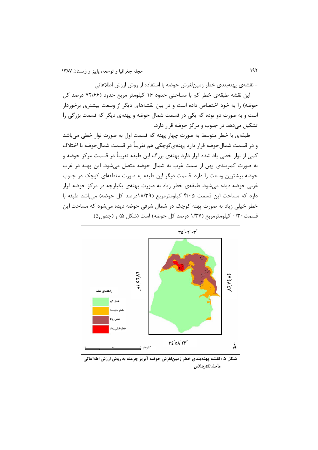– نقشهی پهنهبندی خطر زمینلغزش حوضه با استفاده از روش ارزش اطلاعاتی

این نقشه طبقهی خطر کم با مساحتی حدود ۱۶ کیلومتر مربع حدود (۷۲/۶۶ درصد کل حوضه) را به خود اختصاص داده است و در بین نقشههای دیگر از وسعت بیشتری برخوردار است و به صورت دو توده که یکی در قسمت شمال حوضه و پهنهی دیگر که قسمت بزرگی را تشکیل میدهد در جنوب و مرکز حوضه قرار دارد.

طبقهی با خطر متوسط به صورت چهار پهنه که قسمت اول به صورت نوار خطی میباشد و در قسمت شمالحوضه قرار دارد پهنهىكوچكى هم تقريباً در قسمت شمالحوضه با اختلاف کمی از نوار خطی یاد شده قرار دارد پهنهی بزرگ این طبقه تقریباً در قسمت مرکز حوضه و ه صورت کمربندی پهن از سمت غرب به شمال حوضه متصل میشود. این پهنه در غرب ļ حوضه بیشترین وسعت را دارد. قسمت دیگر این طبقه به صورت منطقهای کوچک در جنوب غربی حوضه دیده میشود. طبقهی خطر زیاد به صورت پهنهی یکپارچه در مرکز حوضه قرار دارد که مساحت این قسمت ۴/۰۵ کیلومترمربع (۱۸/۳۹درصد کل حوضه) میباشد طبقه با خطر خیلی زیاد به صورت پهنه کوچک در شمال شرقی حوضه دیده میشود که مساحت این قسمت ۰/۳۰ کیلومترمربع (۱/۳۷ درصد کل حوضه) است (شکل ۵) و (جدول۵).



شکل ۵ : نقشه پهنهبندی خطر زمینلغزش حوضه آبریز چرمله به روش ارزش اطلاعاتی مأخذ: *نگارندگان*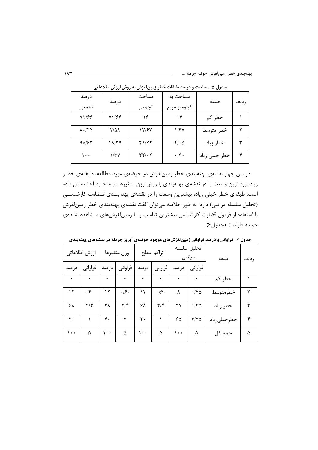پهنهبندي خطر زمينلغزش حوضه چرمل

| درصد                    |              | مساحت | مساحت به         | طىقە          |      |
|-------------------------|--------------|-------|------------------|---------------|------|
| تجمعى                   | درصد         | تجمعى | كيلومتر مربع     |               | رديف |
| YY/FF                   | <b>YY168</b> | ۱۶    | ۱۶               | خطر کم        |      |
| $\lambda \cdot / \zeta$ | 7/58         | 17/67 | 1/۶۷             | خطر متوسط     | ۲    |
| 91/65                   | ۱۸/۳۹        | 21/72 | $f/\cdot \Delta$ | خطر زياد      | ٣    |
| ۱۰۰                     | $1/\tau$ y   | ۲۲/۰۲ | $\cdot$ /۳.      | خطر خیلی زیاد | ۴    |

جدول ۵: مساحت و درصد طبقات خطر زمینلغزش به روش ارزش اطلاعاتی

در بین چهار نقشهی پهنهبندی خطر زمینلغزش در حوضهی مورد مطالعه، طبقــهی خطــر زیاد، بیشترین وسعت را در نقشهی پهنهبندی با روش وزن متغیرهـا بـه خـود اختـصاص داده است. طبقهی خطر خیلی زیاد، بیشترین وسعت را در نقشهی پهنهبنـدی قـضاوت کارشناسـی (تحلیل سلسله مراتبی) دارد. به طور خلاصه می¤وان گفت نقشهی پهنهبندی خطر زمینلغزش با استفاده از فرمول قضاوت کارشناسی بیشترین تناسب را با زمینلغزشهای مـشاهده شـدهی حوضه داراست (جدول۶).

|       | ارزش اطلاعاتي           | وزن متغيرها |                    | تراكم سطح |                         | تحليل سلسله<br>مراتبي |               | طبقه        | رديف |
|-------|-------------------------|-------------|--------------------|-----------|-------------------------|-----------------------|---------------|-------------|------|
| در صد | فراواني                 | د, صد       | فراواني            | در صد     | فراواني                 | درصد                  | فراواني       |             |      |
| ۰     | ٠                       | ۰           |                    | ۰         |                         |                       | ٠             | خطر کم      |      |
| ۱۲    | $\cdot$ /۶ $\cdot$      | ۱۲          | $\cdot$ /۶ $\cdot$ | ۱۲        | $\cdot$ /۶ $\cdot$      | ٨                     | $\cdot$ /۴۵   | خطرمتوسط    | ۲    |
| ۶۸    | $\mathbf{r}/\mathbf{r}$ | ۴۸          | $Y/\mathfrak{F}$   | ۶۸        | $\mathbf{r}/\mathbf{r}$ | ۲۷                    | ۱۱۳۵          | خطر زياد    | ٣    |
| ٢٠    |                         | ۴٠          | ٢                  | ٢٠        |                         | ۶۵                    | $\frac{1}{2}$ | خطرخيلىزياد | ۴    |
| ۱۰۰   | ۵                       | ۰۰ ۱        | ۵                  | ۱۰۰       | ۵                       | ۱۰۰                   | ۵             | جمع کل      | ۵    |

جدول ۶: فراوانی و درصد فراوانی زمینلغزشهای موجود حوضهی آبریز چرمله در نقشههای پهنهبندی

193 ... -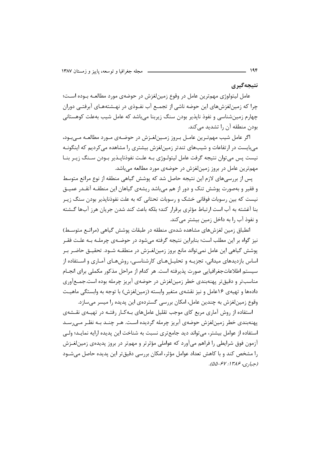نتيجەگيرى

عامل لیتولوژی مهم ترین عامل در وقوع زمین لغزش در حوضهی مورد مطالعـه بــوده اســت؛ چرا که زمینلغزشهای این حوضه ناشی از تجمـع آب نفـوذی در نهـشتههـای آبرفتـی دوران چهارم زمینشناسی و نفوذ نایذیر بودن سنگ زیربنا می باشد که عامل شیب بهعلت کوهستانی بودن منطقه آن ,ا تشدید مے کند.

اگر عامل شیب مهمترین عامـل بـروز زمـینِ لغـزش در حوضـهی مـورد مطالعـه مـی بـود، میبایست در ارتفاعات و شیبهای تندتر زمینلغزش بیشتری را مشاهده میکردیم که اینگونـه نیست پس می توان نتیجه گرفت عامل لیتولـوژی بـه علـت نفوذناپـذیر بـودن سـنگ زیـر بنـا مهمترین عامل در بروز زمین لغزش در حوضهی مورد مطالعه می باشد.

یس از بررسی های لازم این نتیجه حاصل شد که پوشش گیاهی منطقه از نوع مراتع متوسط و فقیر و بهصورت پوشش تنک و دور از هم میباشد ریشهی گیاهان این منطقـه آنقـدر عمیـق نیست که بین رسوبات فوقانی خشک و رسوبات تحتانی که به علت نفوذنایذیر بودن سنگ زیـر بنا آغشته به آب است ارتباط مؤثري برقرار كند؛ بلكه باعث كند شدن جريان هرز آبها گـشته و نفوذ آب ,ا به داخل زمین بیشتر می کند.

انطباق زمین لغزشهای مشاهده شدهی منطقه در طبقات پوشش گیاهی (مراتـع متوسـط) نیز گواه بر این مطلب است؛ بنابراین نتیجه گرفته میشود در حوضـهی چرملـه بـه علـت فقـر پوشش گیاهی این عامل نمیتواند مانع بروز زمینلغـزش در منطقـه شـود. تحقیـق حاضـر بـر اساس بازدیدهای میدانی، تجزیــه و تحلیــلهــای کارشناســی، روشهــای آمـاری و اســتفاده از سیستم اطلاعاتجغرافیایی صورت پذیرفته است. هر کدام از مراحل مذکور مکملی برای انجــام مناسبتر و دقیقتر پهنهبندی خطر زمینلغزش در حوضهی آبریز چرمله بوده است.جمـعآوری دادهها و تهیهی ۱۶عامل و نیز نقشهی متغیر وابسته (زمین لغزش) با توجه به وابستگی ماهیـت وقوع زمین لغزش به چندین عامل، امکان بررسی گستردهی این پدیده را میسر می سازد.

استفاده از روش آماری مربع کای موجب تقلیل عاملهای بـهکـار رفتـه در تهیـهی نقـشهی پهنهبندي خطر زمينلغزش حوضهي آبريز چرمله گرديده است. هـر چنــد بــه نظـر مــ<sub>ي،</sub>رســد استفاده از عوامل بیشتر، می تواند دید جامع تری نسبت به شناخت این پدیده ارایه نمایـد؛ ولـی آزمون فوق شرایطی را فراهم میآورد که عواملی مؤثرتر و مهمتر در بروز پدیدهی زمینلغـزش را مشخص كند و با كاهش تعداد عوامل مؤثر، امكان بررسي دقيقتر اين پديده حاصل مي شود (حيابي، ۱۳۸۶: ۵۵-۵۵).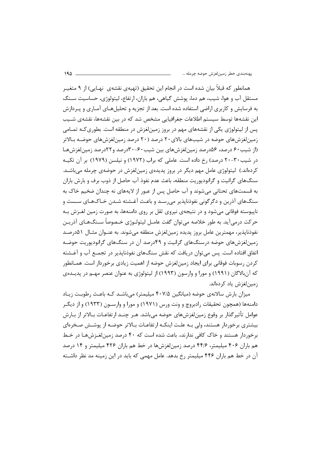همانطور که قبلاً بیان شده است در انجام این تحقیق (تهیهی نقشهی نهـایی) از ۹ متغیــر مستقل آب و هوا، شیب، هم دما، پوشش گیاهی، هم باران، ارتفاع، لیتولوژی، حساسیت سـنگ ه فرسایش و کاربری اراضی استفاده شده است. بعد از تجزیه و تحلیلهـای آمـاری و پـردازش ڊ این نقشهها توسط سیستم اطلاعات جغرافیایی مشخص شد که در بین نقشهها، نقشهی شــیب پس از لیتولوژی یکی از نقشههای مهم در بروز زمینلغزش در منطقه است. بطوری *ک*ـه تمـامی زمینلغزشهای حوضه در شیبهای بالای ۲۰ درصد (۲۰ درصد زمینلغزشهای حوضـه بـالاتر (از شیب ۶۰ درصد، ۵۶درصد زمین لغزشهای بین شیب ۶۰-۳۰درصد و ۲۲درصد زمین لغزشها در شیب۳۰-۲۰ درصد) رخ داده است. عاملی که براب (۱۹۷۲) و نیلسن (۱۹۷۹) بر آن تکیــه کردهاند.) لیتولوژی عامل مهم دیگر در بروز پدیدهی زمینلغزش در حوضهی چرمله میباشـد. سنگـهای گرانیت و گرانودیوریت منطقه، باعث عدم نفوذ آب حاصل از ذوب برف و بارش باران ه قسمتهای تحتانی میشوند و آب حاصل پس از عبور از لایههای نه چندان ضخیم خاک به ڊ سنگـهای آذرین و دگرگونی نفوذناپذیر میرسـد و باعـث آغـشته شـدن خـاکـهـای سـست و ناپیوسته فوقانی میشود و در نتیجهی نیروی ثقل بر روی دامنهها، به صورت زمین لغـزش بـه حركت درمي[يد. به طور خلاصه مي¤وان گفت عامـل ليتولـوژى خـصوصأ ســنگـهـاى آذريــن نفوذناپذیر، مهمترین عامل بروز پدیده زمینلغزش منطقه میشوند. به عنــوان مثــال ۵۱درصــد زمینلغزشهای حوضه درسنگهای گرانیت و ۴۹درصد آن در سنگهای گرانودیوریت حوضـه اتفاق افتاده است. پس می¤وان دریافت که نقش سنگهای نفوذناپذیر در تجمـع آب و آغــشته کردن رسوبات فوقانی برای ایجاد زمینلغزش حوضه از اهمیت زیادی برخوردار است. همـانطور که آنبالاگان (۱۹۹۱) و مورا و وارسون (۱۹۹۳) از لیتولوژی به عنوان عنصر مهــم در پدیــدهی زمینلغزش یاد کردهاند.

میزان بارش سالانهی حوضه (میانگین ۴۰۷/۵ میلیمتر) میباشـد کـه باعـث رطوبـت زیـاد دامنهها (همچون تحقیقات رادبروچ و ونت ورس (۱۹۷۱) و مورا و وارســون (۱۹۳۳) و از دیگــر عوامل تأثير گذار بر وقوع زمينلغزشهاى حوضه مىباشد. هـر چنـد ارتفاعـات بــالاتر از بــارش بیشتری برخوردار هستند، ولی بـه علـت اینکـه ارتفاعـات بـالاتر حوضـه از پوشـش صـخرهای رخوردار هستند و خاک کافی ندارند، باعث شده است که ۴۰ درصد زمینلغـزشهـا در خـط ļ هم باران ۴۰۶ میلیمتر، ۴۴/۶ درصد زمینلغزشها در خط هم باران ۴۲۶ میلیمتر و ۱۴ درصد آن در خط هم باران ۴۴۶ میلیمتر رخ بدهد. عامل مهمی که باید در این زمینه مد نظر داشــته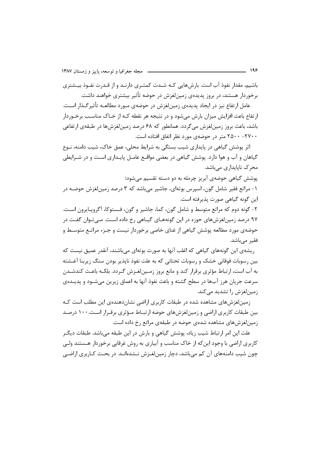باشیم، مقدار نفوذ آب است. بارش هایی کـه شـدت کمتـری دارنـد و از قـدرت نفـوذ بیـشتری برخوردار هستند، در بروز پدیدهی زمینِلغزش در حوضه تأثیر بیشتری خواهند داشت.

عامل ارتفاع نيز در ايجاد يديدەي زمينِ لغزش در حوضەي مـورد مطالعــه تأثير گـذار اسـت. ارتفاع باعث افزایش میزان بارش میشود و در نتیجه هر نقطه کـه از خـاک مناسـب برخـوردار باشد، باعث بروز زمین لغزش می گردد. همانطور که ۶۸ درصد زمین لغزش ها در طبقهی ارتفاعی ۲۵۰۰ - ۲۵۰۰ متر در حوضهی مورد نظر اتفاق افتاده است.

اثر پوشش گیاهی در پایداری شیب بستگی به شرایط محلی، عمق خاک، شیب دامنه، نـوع گیاهان و آب و هوا دارد. پوشش گیاهی در بعضی مواقـع عامـل پایـداری اسـت و در شـرایطی محر ک ناپایداری مے باشد.

یوشش گیاهی حوضهی آبریز چرمله به دو دسته تقسیم می شود:

۱- مراتع فقیر شامل گون، اسپرس بوتهای، جاشیر میباشد که ۳ درصد زمین لغزش حوضـه در این گونه گیاهی صورت پذیرفته است.

۲- گونه دوم که مراتع متوسط و شامل گون، کما، جاشیر و گون، فـستوکا، آگرویـایرون اسـت. ۹۷ درصد زمین!غزش های حوزه در این گونههـای گیـاهی رخ داده اسـت. مـی تـوان گفـت در حوضهی مورد مطالعه پوشش گیاهی از غنای خاصی برخوردار نیست و جـزء مراتـع متوسـط و فقیر مے باشد.

ریشەی این گونەھای گیاھی کە اغلب آنها بە صورت بوتەای مے باشند، آنقدر عمیق نیست کە بين رسوبات فوقاني خشک و رسوبات تحتاني که به علت نفوذ نايذير بودن سنگ زيربنا آغــشته به آب است، ارتباط مؤثري برقرار كند و مانع بروز زمـينلغـزش گـردد. بلكـه باعـث كندشـدن سرعت جریان هرز آبها در سطح گشته و باعث نفوذ آنها به اعماق زیرین میشــود و پدیــدهی زمین لغزش را تشدید مے کند.

زمینلغزشهای مشاهده شده در طبقات کاربری اراضی نشاندهندهی این مطلب است ک بین طبقات کاربری اراضی و زمین لغزش های حوضه ارتبـاط مـؤثری برقـرار اسـت. ۱۰۰ درصـد زمینلغزشهای مشاهده شدهی حوضه در طبقهی مراتع رخ داده است.

علت این امر ارتباط شیب زیاد، پوشش گیاهی و بارش در این طبقه میباشد. طبقات دیگـر کاربری اراضی با وجود این که از خاک مناسب و آبیاری به روش غرقابی برخوردار هـستند ولـی چون شیب دامنههای آن کم می باشد، دچار زمین لغـزش نـشدهانـد. در بحـث کـاربری اراضـی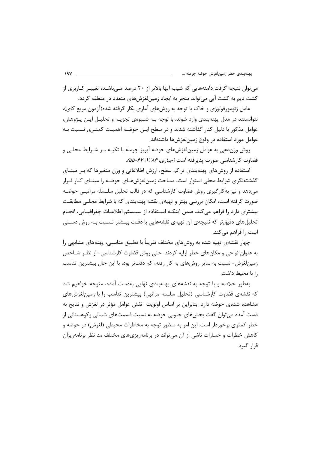میتوان نتیجه گرفت دامنههایی که شیب آنها بالاتر از ۲۰ درصد مـیباشـد، تغییـر کــاربری از کشت دیم به کشت آبی میتواند منجر به ایجاد زمینلغزشهای متعدد در منطقه گردد.

عامل ژئومورفولوژی و خاک با توجه به روشهای آماری بکار گرفته شده(آزمون مربع کای)، نتوانستند در مدل پهنهبندی وارد شوند. با توجه بـه شـیوهی تجزیـه و تحلیـل ایـن پـژوهش، عوامل مذکور با دلیل کنار گذاشته شدند و در سطح ایـن حوضـه اهمیـت کمتـری نــسبت بـه عوامل مورد استفاده در وقوع زمینلغزشها داشتهاند.

روش وزندهی به عوامل زمینلغزشهای حوضه آبریز چرمله با تکیــه بـر شـرایط محلـی و قضاوت كارشناسي صورت پذيرفته است *(جبارى، ۱۳۸۶: ۶۷–۵۵)*.

استفاده از روشهای پهنهبندی تراکم سطح، ارزش اطلاعاتی و وزن متغیرها که بـر مبنــای گذشتهنگری شرایط محلی استوار است، مساحت زمینلغزشهـای حوضـه را مبنـای کـار قـرار میدهد و نیز بهکارگیری روش قضاوت کارشناسی که در قالب تحلیل سلـسله مراتبــی حوضـه صورت گرفته است، امکان بررسی بهتر و تهیهی نقشه پهنهبندی که با شرایط محلـی مطابقـت بیشتری دارد را فراهم میکند. ضمن اینکـه اسـتفاده از سیـستم اطلاعـات جغرافیــایی، انجــام تحلیلهای دقیقتر که نتیجهی آن تهیهی نقشههایی با دقت بیـشتر نـسبت بـه روش دسـتی است را فراهم میکند.

چهار نقشهی تهیه شده به روشهای مختلف تقریباً با تطبیق مناسبی، پهنههای مشابهی را ه عنوان نواحی و مکانهای خطر ارایه کردند. حتی روش قضاوت کارشناسی- از نظـر شــاخص ļ زمینلغزش- نسبت به سایر روشهای به کار رفته، کم دقتتر بود، با این حال بیشترین تناسب .ا با محبط داشت.

هطور خلاصه و با توجه به نقشههای پهنهبندی نهایی بهدست آمده، متوجه خواهیم شد ļ که نقشهی قضاوت کارشناسی (تحلیل سلسله مراتبی) بیشترین تناسب را با زمینلغزشهای مشاهده شدهی حوضه دارد. بنابراین بر اساس اولویت نقش عوامل مؤثر در لغزش و نتایج به دست آمده میتوان گفت بخشهای جنوبی حوضه به نسبت قسمتهای شمالی وکوهستانی از خطر کمتری برخوردار است. این امر به منظور توجه به مخاطرات محیطی (لغزش) در حوضه و کاهش خطرات و خسارات ناشی از آن میتواند در برنامهریزیهای مختلف مد نظر برنامهریزان قرار گیرد.